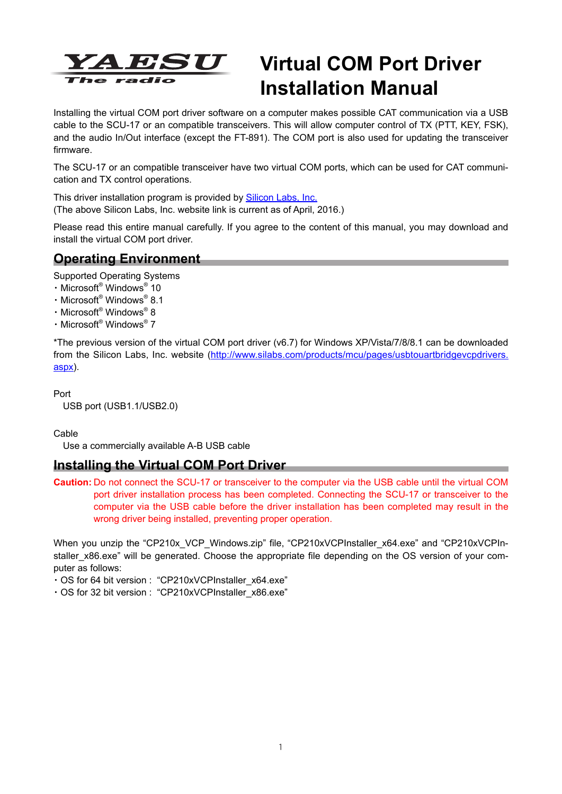

# **Virtual COM Port Driver Installation Manual**

Installing the virtual COM port driver software on a computer makes possible CAT communication via a USB cable to the SCU-17 or an compatible transceivers. This will allow computer control of TX (PTT, KEY, FSK), and the audio In/Out interface (except the FT-891). The COM port is also used for updating the transceiver firmware.

The SCU-17 or an compatible transceiver have two virtual COM ports, which can be used for CAT communication and TX control operations.

This driver installation program is provided by **Silicon Labs**, Inc. (The above Silicon Labs, Inc. website link is current as of April, 2016.)

Please read this entire manual carefully. If you agree to the content of this manual, you may download and install the virtual COM port driver.

### **Operating Environment**

Supported Operating Systems

- ・Microsoft® Windows® 10
- ・Microsoft® Windows® 8.1
- ・Microsoft® Windows® 8
- ・Microsoft® Windows® 7

\*The previous version of the virtual COM port driver (v6.7) for Windows XP/Vista/7/8/8.1 can be downloaded from the Silicon Labs, Inc. website (http://www.silabs.com/products/mcu/pages/usbtouartbridgevcpdrivers. aspx).

Port

USB port (USB1.1/USB2.0)

Cable

Use a commercially available A-B USB cable

### **Installing the Virtual COM Port Driver**

**Caution:** Do not connect the SCU-17 or transceiver to the computer via the USB cable until the virtual COM port driver installation process has been completed. Connecting the SCU-17 or transceiver to the computer via the USB cable before the driver installation has been completed may result in the wrong driver being installed, preventing proper operation.

When you unzip the "CP210x VCP\_Windows.zip" file, "CP210xVCPInstaller\_x64.exe" and "CP210xVCPInstaller x86.exe" will be generated. Choose the appropriate file depending on the OS version of your computer as follows:

・OS for 64 bit version : "CP210xVCPInstaller\_x64.exe"

・OS for 32 bit version : "CP210xVCPInstaller\_x86.exe"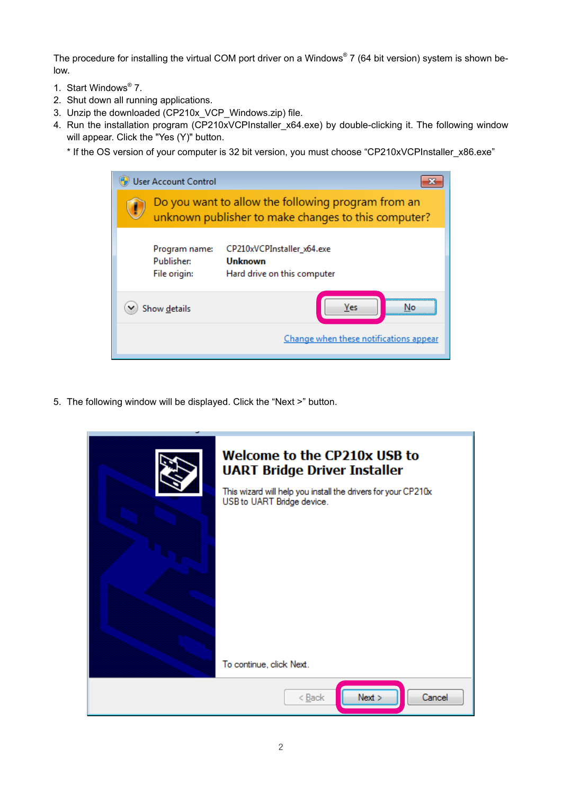The procedure for installing the virtual COM port driver on a Windows® 7 (64 bit version) system is shown below.

- 1. Start Windows® 7.
- 2. Shut down all running applications.
- 3. Unzip the downloaded (CP210x\_VCP\_Windows.zip) file.
- 4. Run the installation program (CP210xVCPInstaller\_x64.exe) by double-clicking it. The following window will appear. Click the "Yes (Y)" button.
	- \* If the OS version of your computer is 32 bit version, you must choose "CP210xVCPInstaller\_x86.exe"

|           | <b>User Account Control</b>                                                                               |                                                                      |  |  |  |
|-----------|-----------------------------------------------------------------------------------------------------------|----------------------------------------------------------------------|--|--|--|
| $\bullet$ | Do you want to allow the following program from an<br>unknown publisher to make changes to this computer? |                                                                      |  |  |  |
|           | Program name:<br>Publisher:<br>File origin:                                                               | CP210xVCPInstaller_x64.exe<br>Unknown<br>Hard drive on this computer |  |  |  |
|           | Yes<br>Show details<br>Nο                                                                                 |                                                                      |  |  |  |
|           |                                                                                                           | Change when these notifications appear                               |  |  |  |

5. The following window will be displayed. Click the "Next >" button.

| <b>Welcome to the CP210x USB to</b><br><b>UART Bridge Driver Installer</b><br>This wizard will help you install the drivers for your CP210x<br>USB to UART Bridge device. |
|---------------------------------------------------------------------------------------------------------------------------------------------------------------------------|
| To continue, click Next.                                                                                                                                                  |
| Next<br>Cancel<br>$<$ Back                                                                                                                                                |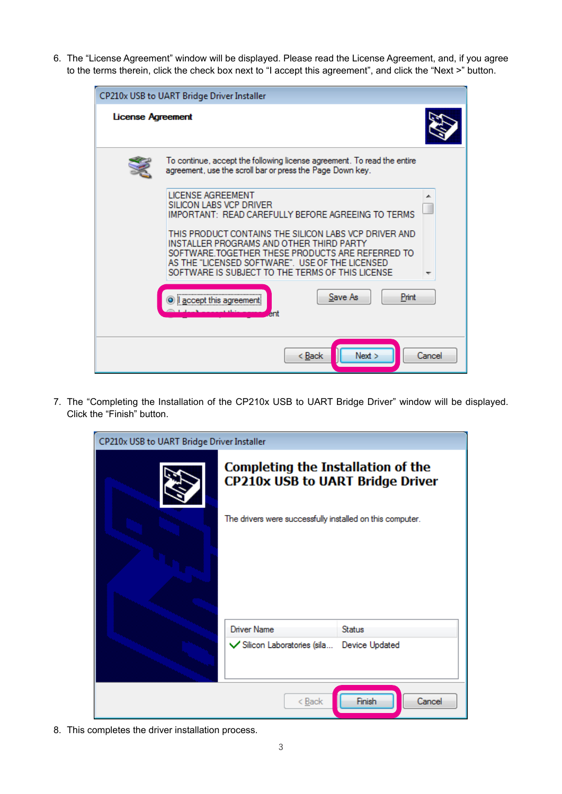6. The "License Agreement" window will be displayed. Please read the License Agreement, and, if you agree to the terms therein, click the check box next to "I accept this agreement", and click the "Next >" button.

| CP210x USB to UART Bridge Driver Installer |                                                                                                                                                                                                                                                                                                                                                                                                                                                                                                                                               |        |  |  |  |
|--------------------------------------------|-----------------------------------------------------------------------------------------------------------------------------------------------------------------------------------------------------------------------------------------------------------------------------------------------------------------------------------------------------------------------------------------------------------------------------------------------------------------------------------------------------------------------------------------------|--------|--|--|--|
| License Agreement                          |                                                                                                                                                                                                                                                                                                                                                                                                                                                                                                                                               |        |  |  |  |
|                                            | To continue, accept the following license agreement. To read the entire<br>agreement, use the scroll bar or press the Page Down key.<br><b>LICENSE AGREEMENT</b><br>SILICON LABS VCP DRIVER<br>IMPORTANT: READ CAREFULLY BEFORE AGREEING TO TERMS<br>THIS PRODUCT CONTAINS THE SILICON LABS VCP DRIVER AND<br>INSTALLER PROGRAMS AND OTHER THIRD PARTY<br>SOFTWARE TOGETHER THESE PRODUCTS ARE REFERRED TO<br>AS THE "LICENSED SOFTWARE". USE OF THE LICENSED.<br>SOFTWARE IS SUBJECT TO THE TERMS OF THIS LICENSE<br>Save As<br>Print<br>ent |        |  |  |  |
|                                            | Next<br>< Back                                                                                                                                                                                                                                                                                                                                                                                                                                                                                                                                | Cancel |  |  |  |

7. The "Completing the Installation of the CP210x USB to UART Bridge Driver" window will be displayed. Click the "Finish" button.

| CP210x USB to UART Bridge Driver Installer |                                                                               |                  |  |  |  |  |
|--------------------------------------------|-------------------------------------------------------------------------------|------------------|--|--|--|--|
|                                            | Completing the Installation of the<br><b>CP210x USB to UART Bridge Driver</b> |                  |  |  |  |  |
|                                            | The drivers were successfully installed on this computer.                     |                  |  |  |  |  |
|                                            | Driver Name                                                                   | <b>Status</b>    |  |  |  |  |
|                                            | √ Silicon Laboratories (sila                                                  | Device Updated   |  |  |  |  |
|                                            | < <u>B</u> ack                                                                | Finish<br>Cancel |  |  |  |  |

8. This completes the driver installation process.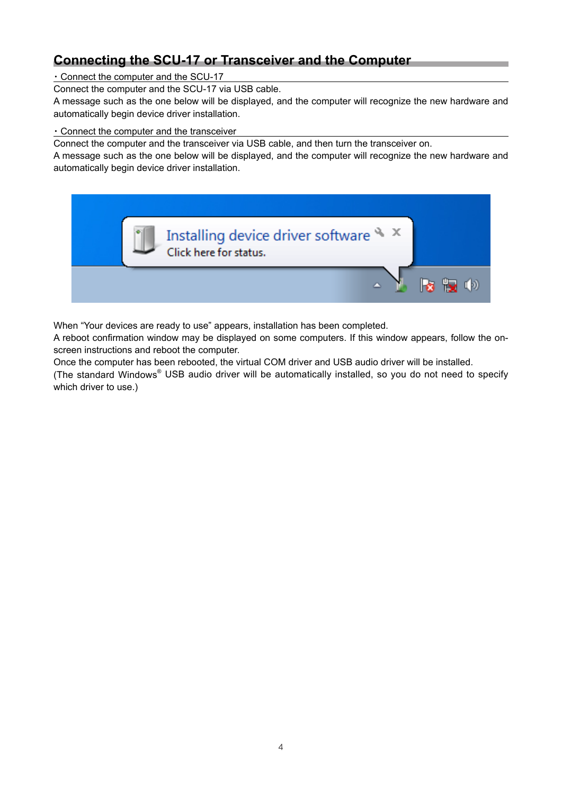# **Connecting the SCU-17 or Transceiver and the Computer**

・Connect the computer and the SCU-17

Connect the computer and the SCU-17 via USB cable.

A message such as the one below will be displayed, and the computer will recognize the new hardware and automatically begin device driver installation.

#### ・Connect the computer and the transceiver

Connect the computer and the transceiver via USB cable, and then turn the transceiver on.

A message such as the one below will be displayed, and the computer will recognize the new hardware and automatically begin device driver installation.



When "Your devices are ready to use" appears, installation has been completed.

A reboot confirmation window may be displayed on some computers. If this window appears, follow the onscreen instructions and reboot the computer.

Once the computer has been rebooted, the virtual COM driver and USB audio driver will be installed.

(The standard Windows® USB audio driver will be automatically installed, so you do not need to specify which driver to use.)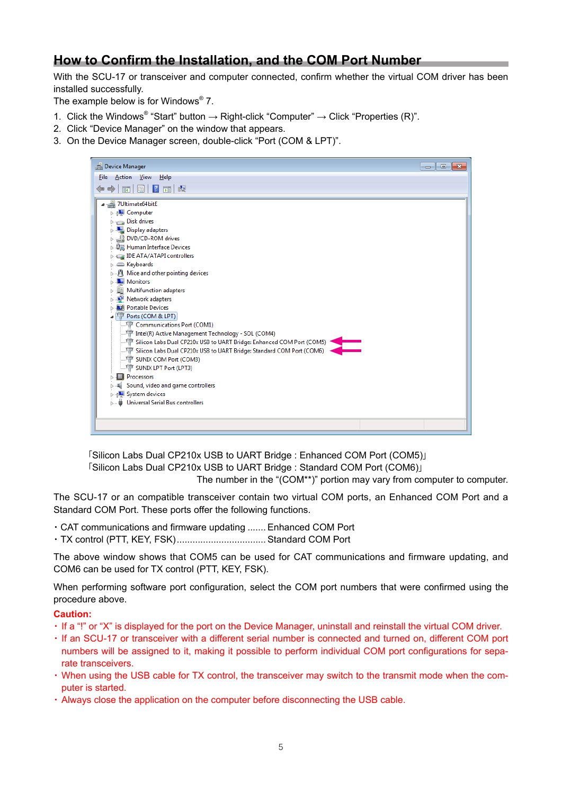### **How to Confirm the Installation, and the COM Port Number**

With the SCU-17 or transceiver and computer connected, confirm whether the virtual COM driver has been installed successfully.

The example below is for Windows® 7.

- 1. Click the Windows® "Start" button  $\rightarrow$  Right-click "Computer"  $\rightarrow$  Click "Properties (R)".
- 2. Click "Device Manager" on the window that appears.
- 3. On the Device Manager screen, double-click "Port (COM & LPT)".



 「Silicon Labs Dual CP210x USB to UART Bridge : Enhanced COM Port (COM5)」 「Silicon Labs Dual CP210x USB to UART Bridge : Standard COM Port (COM6)」 The number in the "(COM\*\*)" portion may vary from computer to computer.

The SCU-17 or an compatible transceiver contain two virtual COM ports, an Enhanced COM Port and a Standard COM Port. These ports offer the following functions.

- ・CAT communications and firmware updating ....... Enhanced COM Port
- ・TX control (PTT, KEY, FSK).................................. Standard COM Port

The above window shows that COM5 can be used for CAT communications and firmware updating, and COM6 can be used for TX control (PTT, KEY, FSK).

When performing software port configuration, select the COM port numbers that were confirmed using the procedure above.

#### **Caution:**

- ・If a "!" or "X" is displayed for the port on the Device Manager, uninstall and reinstall the virtual COM driver.
- ・If an SCU-17 or transceiver with a different serial number is connected and turned on, different COM port numbers will be assigned to it, making it possible to perform individual COM port configurations for separate transceivers.
- ・When using the USB cable for TX control, the transceiver may switch to the transmit mode when the computer is started.
- ・Always close the application on the computer before disconnecting the USB cable.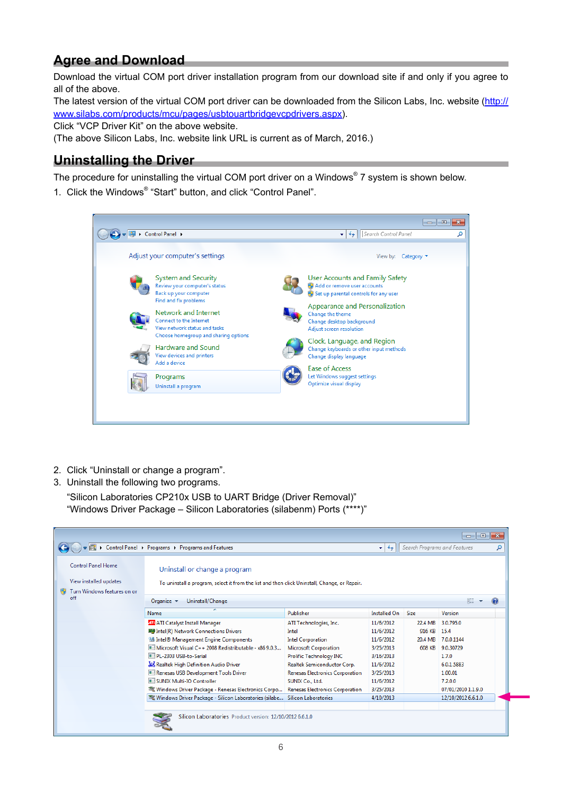# **Agree and Download**

Download the virtual COM port driver installation program from our download site if and only if you agree to all of the above.

The latest version of the virtual COM port driver can be downloaded from the Silicon Labs, Inc. website ([http://](http://www.silabs.com/products/mcu/pages/usbtouartbridgevcpdrivers.aspx) [www.silabs.com/products/mcu/pages/usbtouartbridgevcpdrivers.aspx](http://www.silabs.com/products/mcu/pages/usbtouartbridgevcpdrivers.aspx)).

Click "VCP Driver Kit" on the above website.

(The above Silicon Labs, Inc. website link URL is current as of March, 2016.)

## **Uninstalling the Driver**

The procedure for uninstalling the virtual COM port driver on a Windows® 7 system is shown below.

1. Click the Windows® "Start" button, and click "Control Panel".



- 2. Click "Uninstall or change a program".
- 3. Uninstall the following two programs.

"Silicon Laboratories CP210x USB to UART Bridge (Driver Removal)" "Windows Driver Package – Silicon Laboratories (silabenm) Ports (\*\*\*\*)"

|                                                                                    |                                                                                                                               |                                        |                          |               | $\Box$<br>$\Box$             | $-x$ |
|------------------------------------------------------------------------------------|-------------------------------------------------------------------------------------------------------------------------------|----------------------------------------|--------------------------|---------------|------------------------------|------|
|                                                                                    | > Control Panel > Programs > Programs and Features                                                                            |                                        | $-14$                    |               | Search Programs and Features | م    |
| <b>Control Panel Home</b><br>View installed updates<br>Turn Windows features on or | Uninstall or change a program<br>To uninstall a program, select it from the list and then click Uninstall, Change, or Repair. |                                        |                          |               |                              |      |
| off                                                                                | Uninstall/Change<br>Organize $\blacktriangledown$                                                                             |                                        |                          |               | 脏                            |      |
|                                                                                    | Name                                                                                                                          | Publisher                              | <b>Installed On</b> Size |               | Version                      |      |
|                                                                                    | <b>411</b> ATI Catalyst Install Manager                                                                                       | ATI Technologies, Inc.                 | 11/6/2012                | 22.4 MB       | 3.0.795.0                    |      |
|                                                                                    | <b>III</b> Intel(R) Network Connections Drivers                                                                               | Intel                                  | 11/6/2012                | 916 KB        | 15.4                         |      |
|                                                                                    | Intel® Management Engine Components                                                                                           | <b>Intel Corporation</b>               | 11/6/2012                | 20.4 MB       | 7.0.0.1144                   |      |
|                                                                                    | Microsoft Visual C++ 2008 Redistributable - x86 9.0.3                                                                         | <b>Microsoft Corporation</b>           | 3/25/2013                | <b>608 KB</b> | 9.0.30729                    |      |
|                                                                                    | ID PL-2303 USB-to-Serial                                                                                                      | <b>Prolific Technology INC</b>         | 3/16/2013                |               | 1.7.0                        |      |
|                                                                                    | Realtek High Definition Audio Driver                                                                                          | Realtek Semiconductor Corp.            | 11/6/2012                |               | 6.0.1.5883                   |      |
|                                                                                    | Renesas USB Development Tools Driver                                                                                          | <b>Renesas Electronics Corporation</b> | 3/25/2013                |               | 1.00.01                      |      |
|                                                                                    | <b>E SUNIX Multi-IO Controller</b>                                                                                            | SUNIX Co., Ltd.                        | 11/6/2012                |               | 7.2.0.0                      |      |
|                                                                                    | Windows Driver Package - Renesas Electronics Corpo                                                                            | Renesas Electronics Corporation        | 3/25/2013                |               | 07/01/2010 1.1.9.0           |      |
|                                                                                    | X Windows Driver Package - Silicon Laboratories (silabe Silicon Laboratories                                                  |                                        | 4/10/2013                |               | 12/10/2012 6.6.1.0           |      |
|                                                                                    |                                                                                                                               |                                        |                          |               |                              |      |
|                                                                                    | Silicon Laboratories Product version: 12/10/2012 6.6.1.0                                                                      |                                        |                          |               |                              |      |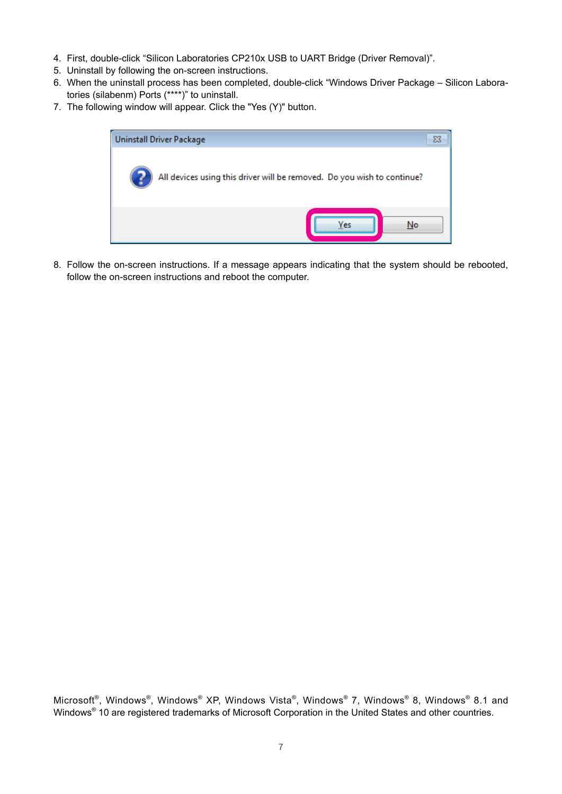- 4. First, double-click "Silicon Laboratories CP210x USB to UART Bridge (Driver Removal)".
- 5. Uninstall by following the on-screen instructions.
- 6. When the uninstall process has been completed, double-click "Windows Driver Package Silicon Laboratories (silabenm) Ports (\*\*\*\*)" to uninstall.
- 7. The following window will appear. Click the "Yes (Y)" button.



8. Follow the on-screen instructions. If a message appears indicating that the system should be rebooted, follow the on-screen instructions and reboot the computer.

Microsoft®, Windows®, Windows® XP, Windows Vista®, Windows® 7, Windows® 8, Windows® 8.1 and Windows<sup>®</sup> 10 are registered trademarks of Microsoft Corporation in the United States and other countries.